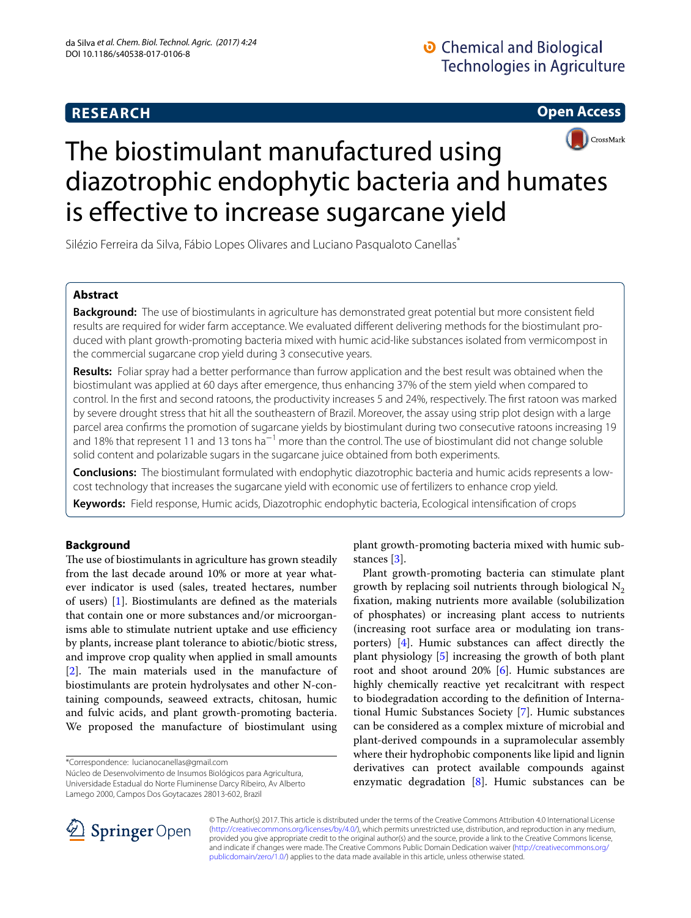## **RESEARCH**

**Open Access**



# The biostimulant manufactured using diazotrophic endophytic bacteria and humates is effective to increase sugarcane yield

Silézio Ferreira da Silva, Fábio Lopes Olivares and Luciano Pasqualoto Canellas\*

## **Abstract**

**Background:** The use of biostimulants in agriculture has demonstrated great potential but more consistent feld results are required for wider farm acceptance. We evaluated diferent delivering methods for the biostimulant produced with plant growth-promoting bacteria mixed with humic acid-like substances isolated from vermicompost in the commercial sugarcane crop yield during 3 consecutive years.

**Results:** Foliar spray had a better performance than furrow application and the best result was obtained when the biostimulant was applied at 60 days after emergence, thus enhancing 37% of the stem yield when compared to control. In the frst and second ratoons, the productivity increases 5 and 24%, respectively. The frst ratoon was marked by severe drought stress that hit all the southeastern of Brazil. Moreover, the assay using strip plot design with a large parcel area confrms the promotion of sugarcane yields by biostimulant during two consecutive ratoons increasing 19 and 18% that represent 11 and 13 tons ha<sup>−1</sup> more than the control. The use of biostimulant did not change soluble solid content and polarizable sugars in the sugarcane juice obtained from both experiments.

**Conclusions:** The biostimulant formulated with endophytic diazotrophic bacteria and humic acids represents a lowcost technology that increases the sugarcane yield with economic use of fertilizers to enhance crop yield.

**Keywords:** Field response, Humic acids, Diazotrophic endophytic bacteria, Ecological intensifcation of crops

## **Background**

The use of biostimulants in agriculture has grown steadily from the last decade around 10% or more at year whatever indicator is used (sales, treated hectares, number of users) [[1\]](#page-5-0). Biostimulants are defned as the materials that contain one or more substances and/or microorganisms able to stimulate nutrient uptake and use efficiency by plants, increase plant tolerance to abiotic/biotic stress, and improve crop quality when applied in small amounts  $[2]$  $[2]$ . The main materials used in the manufacture of biostimulants are protein hydrolysates and other N-containing compounds, seaweed extracts, chitosan, humic and fulvic acids, and plant growth-promoting bacteria. We proposed the manufacture of biostimulant using

\*Correspondence: lucianocanellas@gmail.com

Núcleo de Desenvolvimento de Insumos Biológicos para Agricultura, Universidade Estadual do Norte Fluminense Darcy Ribeiro, Av Alberto Lamego 2000, Campos Dos Goytacazes 28013-602, Brazil

plant growth-promoting bacteria mixed with humic substances [[3\]](#page-5-2).

Plant growth-promoting bacteria can stimulate plant growth by replacing soil nutrients through biological  $N_2$ fxation, making nutrients more available (solubilization of phosphates) or increasing plant access to nutrients (increasing root surface area or modulating ion transporters) [[4\]](#page-5-3). Humic substances can afect directly the plant physiology [\[5\]](#page-5-4) increasing the growth of both plant root and shoot around 20% [[6\]](#page-5-5). Humic substances are highly chemically reactive yet recalcitrant with respect to biodegradation according to the defnition of International Humic Substances Society [[7\]](#page-5-6). Humic substances can be considered as a complex mixture of microbial and plant-derived compounds in a supramolecular assembly where their hydrophobic components like lipid and lignin derivatives can protect available compounds against enzymatic degradation  $[8]$  $[8]$ . Humic substances can be



© The Author(s) 2017. This article is distributed under the terms of the Creative Commons Attribution 4.0 International License [\(http://creativecommons.org/licenses/by/4.0/\)](http://creativecommons.org/licenses/by/4.0/), which permits unrestricted use, distribution, and reproduction in any medium, provided you give appropriate credit to the original author(s) and the source, provide a link to the Creative Commons license, and indicate if changes were made. The Creative Commons Public Domain Dedication waiver ([http://creativecommons.org/](http://creativecommons.org/publicdomain/zero/1.0/) [publicdomain/zero/1.0/](http://creativecommons.org/publicdomain/zero/1.0/)) applies to the data made available in this article, unless otherwise stated.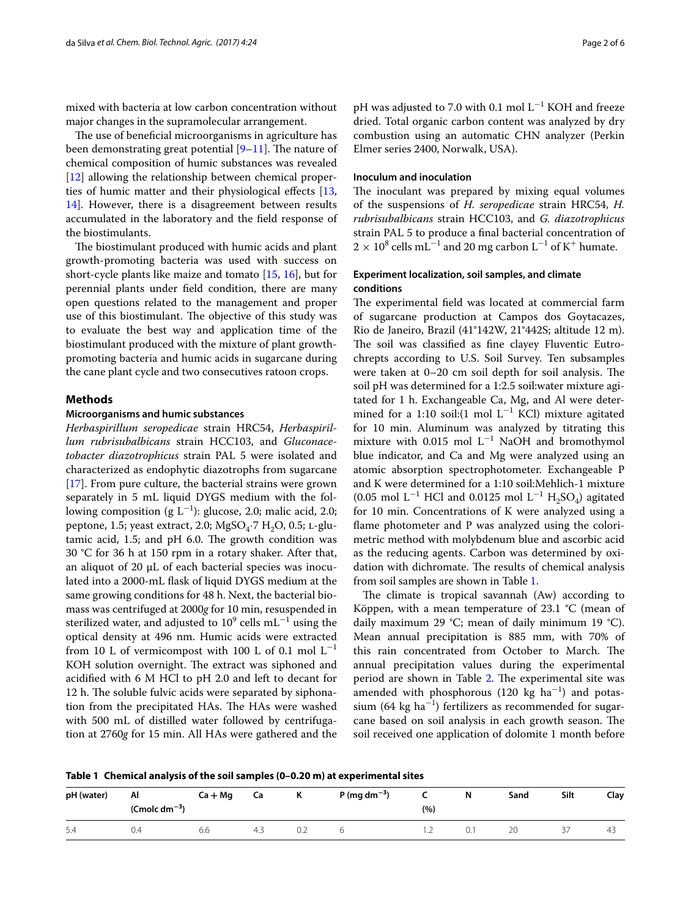mixed with bacteria at low carbon concentration without major changes in the supramolecular arrangement.

The use of beneficial microorganisms in agriculture has been demonstrating great potential  $[9-11]$  $[9-11]$ . The nature of chemical composition of humic substances was revealed [[12\]](#page-5-10) allowing the relationship between chemical properties of humic matter and their physiological efects [\[13](#page-5-11), [14\]](#page-5-12). However, there is a disagreement between results accumulated in the laboratory and the feld response of the biostimulants.

The biostimulant produced with humic acids and plant growth-promoting bacteria was used with success on short-cycle plants like maize and tomato [[15](#page-5-13), [16](#page-5-14)], but for perennial plants under feld condition, there are many open questions related to the management and proper use of this biostimulant. The objective of this study was to evaluate the best way and application time of the biostimulant produced with the mixture of plant growthpromoting bacteria and humic acids in sugarcane during the cane plant cycle and two consecutives ratoon crops.

#### **Methods**

#### **Microorganisms and humic substances**

*Herbaspirillum seropedicae* strain HRC54, *Herbaspirillum rubrisubalbicans* strain HCC103, and *Gluconacetobacter diazotrophicus* strain PAL 5 were isolated and characterized as endophytic diazotrophs from sugarcane [[17\]](#page-5-15). From pure culture, the bacterial strains were grown separately in 5 mL liquid DYGS medium with the following composition (g L<sup>-1</sup>): glucose, 2.0; malic acid, 2.0; peptone, 1.5; yeast extract, 2.0;  $MgSO<sub>4</sub>·7 H<sub>2</sub>O$ , 0.5; L-glutamic acid,  $1.5$ ; and pH 6.0. The growth condition was 30 °C for 36 h at 150 rpm in a rotary shaker. After that, an aliquot of 20 µL of each bacterial species was inoculated into a 2000-mL fask of liquid DYGS medium at the same growing conditions for 48 h. Next, the bacterial biomass was centrifuged at 2000*g* for 10 min, resuspended in sterilized water, and adjusted to  $10^9$  cells mL $^{-1}$  using the optical density at 496 nm. Humic acids were extracted from 10 L of vermicompost with 100 L of 0.1 mol  $L^{-1}$ KOH solution overnight. The extract was siphoned and acidifed with 6 M HCl to pH 2.0 and left to decant for 12 h. The soluble fulvic acids were separated by siphonation from the precipitated HAs. The HAs were washed with 500 mL of distilled water followed by centrifugation at 2760*g* for 15 min. All HAs were gathered and the

pH was adjusted to 7.0 with 0.1 mol  $L^{-1}$  KOH and freeze dried. Total organic carbon content was analyzed by dry combustion using an automatic CHN analyzer (Perkin Elmer series 2400, Norwalk, USA).

#### **Inoculum and inoculation**

The inoculant was prepared by mixing equal volumes of the suspensions of *H. seropedicae* strain HRC54, *H. rubrisubalbicans* strain HCC103, and *G. diazotrophicus* strain PAL 5 to produce a fnal bacterial concentration of  $2 \times 10^8$  cells mL<sup>-1</sup> and 20 mg carbon L<sup>-1</sup> of K<sup>+</sup> humate.

## **Experiment localization, soil samples, and climate conditions**

The experimental field was located at commercial farm of sugarcane production at Campos dos Goytacazes, Rio de Janeiro, Brazil (41°142W, 21°442S; altitude 12 m). The soil was classified as fine clayey Fluventic Eutrochrepts according to U.S. Soil Survey. Ten subsamples were taken at  $0-20$  cm soil depth for soil analysis. The soil pH was determined for a 1:2.5 soil:water mixture agitated for 1 h. Exchangeable Ca, Mg, and Al were determined for a 1:10 soil: $(1 \text{ mol } L^{-1} \text{ KCl})$  mixture agitated for 10 min. Aluminum was analyzed by titrating this mixture with  $0.015$  mol L<sup>-1</sup> NaOH and bromothymol blue indicator, and Ca and Mg were analyzed using an atomic absorption spectrophotometer. Exchangeable P and K were determined for a 1:10 soil:Mehlich-1 mixture  $(0.05 \text{ mol L}^{-1} \text{ HCl} \text{ and } 0.0125 \text{ mol L}^{-1} \text{ H}_2\text{SO}_4)$  agitated for 10 min. Concentrations of K were analyzed using a fame photometer and P was analyzed using the colorimetric method with molybdenum blue and ascorbic acid as the reducing agents. Carbon was determined by oxidation with dichromate. The results of chemical analysis from soil samples are shown in Table [1](#page-1-0).

The climate is tropical savannah (Aw) according to Köppen, with a mean temperature of 23.1 °C (mean of daily maximum 29 °C; mean of daily minimum 19 °C). Mean annual precipitation is 885 mm, with 70% of this rain concentrated from October to March. The annual precipitation values during the experimental period are shown in Table [2.](#page-2-0) The experimental site was amended with phosphorous  $(120 \text{ kg } ha^{-1})$  and potassium (64 kg ha<sup>-1</sup>) fertilizers as recommended for sugarcane based on soil analysis in each growth season. The soil received one application of dolomite 1 month before

<span id="page-1-0"></span>**Table 1 Chemical analysis of the soil samples (0–0.20 m) at experimental sites**

| pH (water) | Al<br>$($ Cmolc dm <sup>-3</sup> $)$ | $Ca + Mg$ | . .<br>Ca | n   | . .<br>$P$ (mg dm <sup>-3</sup> ) | (%) | N   | Sand                | Silt | Clay |
|------------|--------------------------------------|-----------|-----------|-----|-----------------------------------|-----|-----|---------------------|------|------|
| 5.4        | J.4                                  | 6.6       | 4.3       | 0.2 |                                   |     | 0.1 | $\sim$ $\sim$<br>ZU | ر ب  | د4   |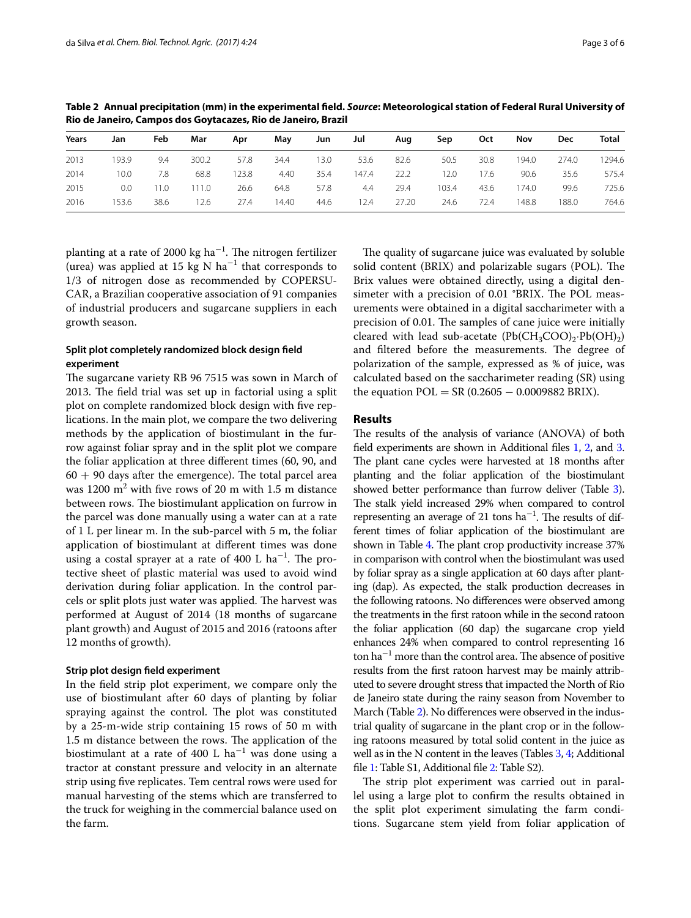| Years | Jan   | Feb  | Mar   | Apr   | May   | Jun  | Jul   | Aug   | Sep   | Oct  | Nov   | <b>Dec</b> | Total  |
|-------|-------|------|-------|-------|-------|------|-------|-------|-------|------|-------|------------|--------|
| 2013  | 193.9 | 9.4  | 300.2 | 57.8  | 34.4  | 13.0 | 53.6  | 82.6  | 50.5  | 30.8 | 194.0 | 274.0      | 1294.6 |
| 2014  | 10.0  | 7.8  | 68.8  | 123.8 | 4.40  | 35.4 | 147.4 | 22.2  | ' 2.0 | 17.6 | 90.6  | 35.6       | 575.4  |
| 2015  | 0.0   | 11.0 | 111.0 | 26.6  | 64.8  | 57.8 | 4.4   | 29.4  | 103.4 | 43.6 | 174.0 | 99.6       | 725.6  |
| 2016  | 153.6 | 38.6 | 12.6  | 27.4  | 14.40 | 44.6 | 12.4  | 27.20 | 24.6  | 72.4 | 148.8 | 188.0      | 764.6  |

<span id="page-2-0"></span>**Table 2 Annual precipitation (mm) in the experimental feld.** *Source***: Meteorological station of Federal Rural University of Rio de Janeiro, Campos dos Goytacazes, Rio de Janeiro, Brazil**

planting at a rate of 2000 kg ha $^{-1}$ . The nitrogen fertilizer (urea) was applied at 15 kg N  $ha^{-1}$  that corresponds to 1/3 of nitrogen dose as recommended by COPERSU-CAR, a Brazilian cooperative association of 91 companies of industrial producers and sugarcane suppliers in each growth season.

## **Split plot completely randomized block design feld experiment**

The sugarcane variety RB 96 7515 was sown in March of 2013. The field trial was set up in factorial using a split plot on complete randomized block design with fve replications. In the main plot, we compare the two delivering methods by the application of biostimulant in the furrow against foliar spray and in the split plot we compare the foliar application at three diferent times (60, 90, and  $60 + 90$  days after the emergence). The total parcel area was 1200  $\text{m}^2$  with five rows of 20 m with 1.5 m distance between rows. The biostimulant application on furrow in the parcel was done manually using a water can at a rate of 1 L per linear m. In the sub-parcel with 5 m, the foliar application of biostimulant at diferent times was done using a costal sprayer at a rate of 400  $\rm L$  ha $^{-1}$ . The protective sheet of plastic material was used to avoid wind derivation during foliar application. In the control parcels or split plots just water was applied. The harvest was performed at August of 2014 (18 months of sugarcane plant growth) and August of 2015 and 2016 (ratoons after 12 months of growth).

## **Strip plot design feld experiment**

In the feld strip plot experiment, we compare only the use of biostimulant after 60 days of planting by foliar spraying against the control. The plot was constituted by a 25-m-wide strip containing 15 rows of 50 m with 1.5 m distance between the rows. The application of the biostimulant at a rate of 400 L  $\rm{ha^{-1}}$  was done using a tractor at constant pressure and velocity in an alternate strip using fve replicates. Tem central rows were used for manual harvesting of the stems which are transferred to the truck for weighing in the commercial balance used on the farm.

The quality of sugarcane juice was evaluated by soluble solid content (BRIX) and polarizable sugars (POL). The Brix values were obtained directly, using a digital densimeter with a precision of 0.01 °BRIX. The POL measurements were obtained in a digital saccharimeter with a precision of 0.01. The samples of cane juice were initially cleared with lead sub-acetate  $(Pb(CH_3COO)_2 \cdot Pb(OH)_2)$ and filtered before the measurements. The degree of polarization of the sample, expressed as % of juice, was calculated based on the saccharimeter reading (SR) using the equation  $POL = SR (0.2605 - 0.0009882 BRIX)$ .

## **Results**

The results of the analysis of variance (ANOVA) of both feld experiments are shown in Additional fles [1,](#page-5-16) [2,](#page-5-17) and [3](#page-5-18). The plant cane cycles were harvested at 18 months after planting and the foliar application of the biostimulant showed better performance than furrow deliver (Table [3](#page-3-0)). The stalk yield increased 29% when compared to control representing an average of 21 tons  $ha^{-1}$ . The results of different times of foliar application of the biostimulant are shown in Table [4.](#page-3-1) The plant crop productivity increase 37% in comparison with control when the biostimulant was used by foliar spray as a single application at 60 days after planting (dap). As expected, the stalk production decreases in the following ratoons. No diferences were observed among the treatments in the frst ratoon while in the second ratoon the foliar application (60 dap) the sugarcane crop yield enhances 24% when compared to control representing 16  $\text{tan } \text{ha}^{-1}$  more than the control area. The absence of positive results from the frst ratoon harvest may be mainly attributed to severe drought stress that impacted the North of Rio de Janeiro state during the rainy season from November to March (Table [2](#page-2-0)). No diferences were observed in the industrial quality of sugarcane in the plant crop or in the following ratoons measured by total solid content in the juice as well as in the N content in the leaves (Tables  $3, 4$ ; Additional fle [1](#page-5-16): Table S1, Additional fle [2:](#page-5-17) Table S2).

The strip plot experiment was carried out in parallel using a large plot to confrm the results obtained in the split plot experiment simulating the farm conditions. Sugarcane stem yield from foliar application of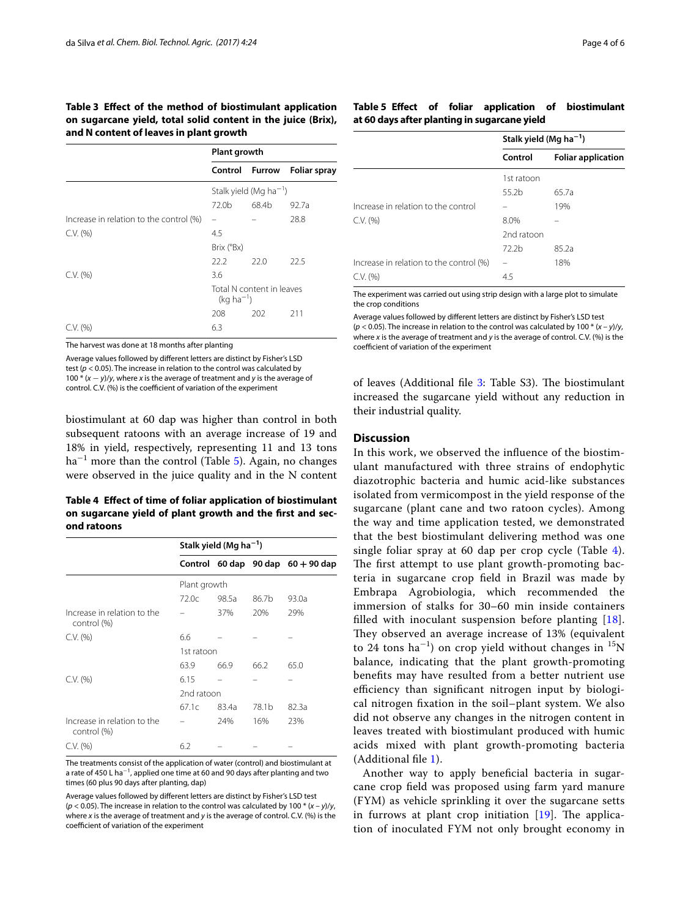<span id="page-3-0"></span>**Table 3 Efect of the method of biostimulant application on sugarcane yield, total solid content in the juice (Brix), and N content of leaves in plant growth**

|                                         | <b>Plant growth</b>                         |        |                     |  |  |
|-----------------------------------------|---------------------------------------------|--------|---------------------|--|--|
|                                         | Control                                     | Furrow | <b>Foliar spray</b> |  |  |
|                                         | Stalk yield (Mg ha <sup>-1</sup> )          |        |                     |  |  |
|                                         | 72.0b                                       | 68.4b  | 92.7a               |  |  |
| Increase in relation to the control (%) |                                             |        | 28.8                |  |  |
| C.V. (%)                                | 4.5                                         |        |                     |  |  |
|                                         | Brix (°Bx)                                  |        |                     |  |  |
|                                         | 22.2                                        | 22.0   | 22.5                |  |  |
| C.V. (%)                                | 3.6                                         |        |                     |  |  |
|                                         | Total N content in leaves<br>$(kq ha^{-1})$ |        |                     |  |  |
|                                         | 208                                         | 202    | 211                 |  |  |
| C.V. (%)                                | 6.3                                         |        |                     |  |  |

The harvest was done at 18 months after planting

Average values followed by diferent letters are distinct by Fisher's LSD test (*p* < 0.05). The increase in relation to the control was calculated by 100 \* (*x* − *y*)/*y*, where *x* is the average of treatment and *y* is the average of control. C.V. (%) is the coefficient of variation of the experiment

biostimulant at 60 dap was higher than control in both subsequent ratoons with an average increase of 19 and 18% in yield, respectively, representing 11 and 13 tons ha−<sup>1</sup> more than the control (Table [5](#page-3-2)). Again, no changes were observed in the juice quality and in the N content

<span id="page-3-1"></span>**Table 4 Efect of time of foliar application of biostimulant on sugarcane yield of plant growth and the frst and second ratoons**

|                                            | Stalk yield (Mg ha <sup>-1</sup> ) |       |       |                                         |  |  |  |
|--------------------------------------------|------------------------------------|-------|-------|-----------------------------------------|--|--|--|
|                                            |                                    |       |       | Control $60$ dap $90$ dap $60 + 90$ dap |  |  |  |
|                                            | Plant growth                       |       |       |                                         |  |  |  |
|                                            | 72.0c                              | 98.5a | 86.7b | 93.0a                                   |  |  |  |
| Increase in relation to the<br>control (%) |                                    | 37%   | 20%   | 29%                                     |  |  |  |
| C.V. (%)                                   | 6.6                                |       |       |                                         |  |  |  |
|                                            | 1st ratoon                         |       |       |                                         |  |  |  |
|                                            | 63.9                               | 66.9  | 66.2  | 65.0                                    |  |  |  |
| C.V. (%)                                   | 6.15                               |       |       |                                         |  |  |  |
|                                            | 2nd ratoon                         |       |       |                                         |  |  |  |
|                                            | 67.1c                              | 83.4a | 78.1b | 82.3a                                   |  |  |  |
| Increase in relation to the<br>control (%) |                                    | 24%   | 16%   | 23%                                     |  |  |  |
| C.V. (%)                                   | 6.2                                |       |       |                                         |  |  |  |

The treatments consist of the application of water (control) and biostimulant at a rate of 450 L ha $^{-1}$ , applied one time at 60 and 90 days after planting and two times (60 plus 90 days after planting, dap)

Average values followed by diferent letters are distinct by Fisher's LSD test  $(p < 0.05)$ . The increase in relation to the control was calculated by 100  $*(x - y)/y$ . where *x* is the average of treatment and *y* is the average of control. C.V. (%) is the coefficient of variation of the experiment

### <span id="page-3-2"></span>**Table 5 Efect of foliar application of biostimulant at 60 days after planting in sugarcane yield**

|                                         | Stalk yield (Mg $ha^{-1}$ ) |                           |  |
|-----------------------------------------|-----------------------------|---------------------------|--|
|                                         | Control                     | <b>Foliar application</b> |  |
|                                         | 1st ratoon                  |                           |  |
|                                         | 55.2b                       | 65.7a                     |  |
| Increase in relation to the control     |                             | 19%                       |  |
| C.V. (%)                                | 8.0%                        |                           |  |
|                                         | 2nd ratoon                  |                           |  |
|                                         | 72 <sub>2</sub> h           | 85.2a                     |  |
| Increase in relation to the control (%) |                             | 18%                       |  |
| C.V. (%)                                | 4.5                         |                           |  |

The experiment was carried out using strip design with a large plot to simulate the crop conditions

Average values followed by diferent letters are distinct by Fisher's LSD test (*p* < 0.05). The increase in relation to the control was calculated by 100 \* (*x* – *y*)/*y*, where *x* is the average of treatment and *y* is the average of control. C.V. (%) is the coefficient of variation of the experiment

of leaves (Additional file [3](#page-5-18): Table S3). The biostimulant increased the sugarcane yield without any reduction in their industrial quality.

### **Discussion**

In this work, we observed the infuence of the biostimulant manufactured with three strains of endophytic diazotrophic bacteria and humic acid-like substances isolated from vermicompost in the yield response of the sugarcane (plant cane and two ratoon cycles). Among the way and time application tested, we demonstrated that the best biostimulant delivering method was one single foliar spray at 60 dap per crop cycle (Table [4](#page-3-1)). The first attempt to use plant growth-promoting bacteria in sugarcane crop feld in Brazil was made by Embrapa Agrobiologia, which recommended the immersion of stalks for 30–60 min inside containers flled with inoculant suspension before planting [[18](#page-5-19)]. They observed an average increase of 13% (equivalent to 24 tons ha<sup>-1</sup>) on crop yield without changes in <sup>15</sup>N balance, indicating that the plant growth-promoting benefts may have resulted from a better nutrient use efficiency than significant nitrogen input by biological nitrogen fxation in the soil–plant system. We also did not observe any changes in the nitrogen content in leaves treated with biostimulant produced with humic acids mixed with plant growth-promoting bacteria (Additional fle [1\)](#page-5-16).

Another way to apply benefcial bacteria in sugarcane crop feld was proposed using farm yard manure (FYM) as vehicle sprinkling it over the sugarcane setts in furrows at plant crop initiation  $[19]$  $[19]$ . The application of inoculated FYM not only brought economy in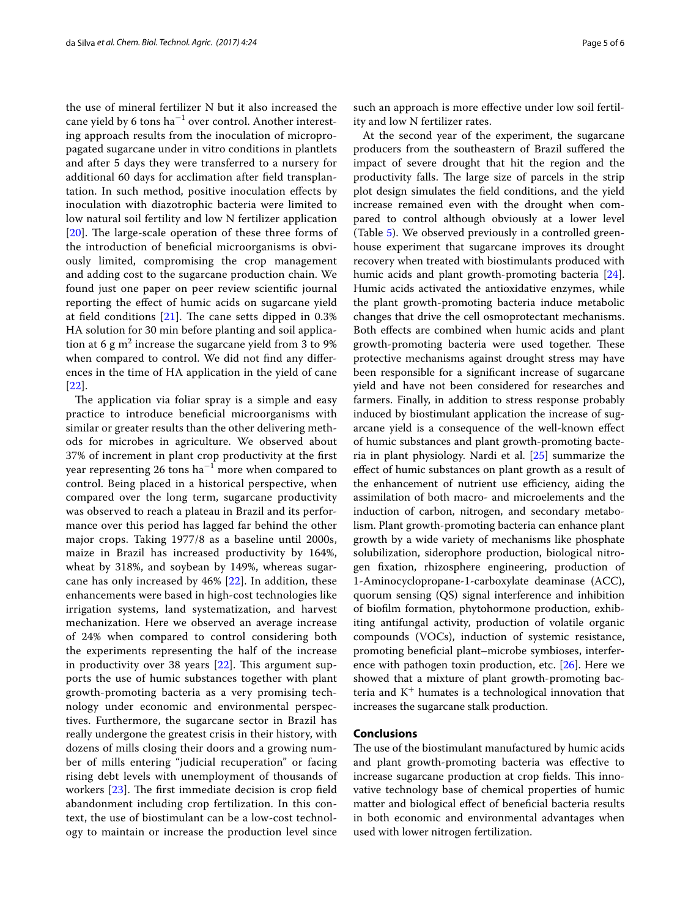the use of mineral fertilizer N but it also increased the cane yield by 6 tons ha $^{-1}$  over control. Another interesting approach results from the inoculation of micropropagated sugarcane under in vitro conditions in plantlets and after 5 days they were transferred to a nursery for additional 60 days for acclimation after feld transplantation. In such method, positive inoculation efects by inoculation with diazotrophic bacteria were limited to low natural soil fertility and low N fertilizer application [[20](#page-5-21)]. The large-scale operation of these three forms of the introduction of benefcial microorganisms is obviously limited, compromising the crop management and adding cost to the sugarcane production chain. We found just one paper on peer review scientifc journal reporting the efect of humic acids on sugarcane yield at field conditions  $[21]$  $[21]$ . The cane setts dipped in 0.3% HA solution for 30 min before planting and soil application at 6 g m<sup>2</sup> increase the sugarcane yield from 3 to 9% when compared to control. We did not find any differences in the time of HA application in the yield of cane [[22](#page-5-23)].

The application via foliar spray is a simple and easy practice to introduce benefcial microorganisms with similar or greater results than the other delivering methods for microbes in agriculture. We observed about 37% of increment in plant crop productivity at the frst year representing 26 tons  $\text{ha}^{-1}$  more when compared to control. Being placed in a historical perspective, when compared over the long term, sugarcane productivity was observed to reach a plateau in Brazil and its performance over this period has lagged far behind the other major crops. Taking 1977/8 as a baseline until 2000s, maize in Brazil has increased productivity by 164%, wheat by 318%, and soybean by 149%, whereas sugarcane has only increased by 46% [\[22](#page-5-23)]. In addition, these enhancements were based in high-cost technologies like irrigation systems, land systematization, and harvest mechanization. Here we observed an average increase of 24% when compared to control considering both the experiments representing the half of the increase in productivity over 38 years  $[22]$  $[22]$ . This argument supports the use of humic substances together with plant growth-promoting bacteria as a very promising technology under economic and environmental perspectives. Furthermore, the sugarcane sector in Brazil has really undergone the greatest crisis in their history, with dozens of mills closing their doors and a growing number of mills entering "judicial recuperation" or facing rising debt levels with unemployment of thousands of workers [[23\]](#page-5-24). The first immediate decision is crop field abandonment including crop fertilization. In this context, the use of biostimulant can be a low-cost technology to maintain or increase the production level since

such an approach is more efective under low soil fertility and low N fertilizer rates.

At the second year of the experiment, the sugarcane producers from the southeastern of Brazil sufered the impact of severe drought that hit the region and the productivity falls. The large size of parcels in the strip plot design simulates the feld conditions, and the yield increase remained even with the drought when compared to control although obviously at a lower level (Table [5](#page-3-2)). We observed previously in a controlled greenhouse experiment that sugarcane improves its drought recovery when treated with biostimulants produced with humic acids and plant growth-promoting bacteria [\[24](#page-5-25)]. Humic acids activated the antioxidative enzymes, while the plant growth-promoting bacteria induce metabolic changes that drive the cell osmoprotectant mechanisms. Both efects are combined when humic acids and plant growth-promoting bacteria were used together. These protective mechanisms against drought stress may have been responsible for a signifcant increase of sugarcane yield and have not been considered for researches and farmers. Finally, in addition to stress response probably induced by biostimulant application the increase of sugarcane yield is a consequence of the well-known efect of humic substances and plant growth-promoting bacteria in plant physiology. Nardi et al. [[25\]](#page-5-26) summarize the efect of humic substances on plant growth as a result of the enhancement of nutrient use efficiency, aiding the assimilation of both macro- and microelements and the induction of carbon, nitrogen, and secondary metabolism. Plant growth-promoting bacteria can enhance plant growth by a wide variety of mechanisms like phosphate solubilization, siderophore production, biological nitrogen fxation, rhizosphere engineering, production of 1-Aminocyclopropane-1-carboxylate deaminase (ACC), quorum sensing (QS) signal interference and inhibition of bioflm formation, phytohormone production, exhibiting antifungal activity, production of volatile organic compounds (VOCs), induction of systemic resistance, promoting benefcial plant–microbe symbioses, interference with pathogen toxin production, etc. [[26](#page-5-27)]. Here we showed that a mixture of plant growth-promoting bacteria and  $K^+$  humates is a technological innovation that increases the sugarcane stalk production.

### **Conclusions**

The use of the biostimulant manufactured by humic acids and plant growth-promoting bacteria was efective to increase sugarcane production at crop fields. This innovative technology base of chemical properties of humic matter and biological effect of beneficial bacteria results in both economic and environmental advantages when used with lower nitrogen fertilization.